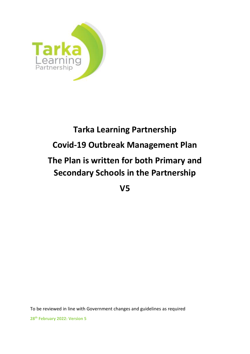

# **Tarka Learning Partnership Covid-19 Outbreak Management Plan The Plan is written for both Primary and Secondary Schools in the Partnership**

**V5**

To be reviewed in line with Government changes and guidelines as required

**28th February 2022: Version 5**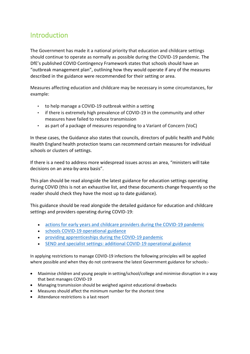# Introduction

The Government has made it a national priority that education and childcare settings should continue to operate as normally as possible during the COVID-19 pandemic. The DfE's published COVID Contingency Framework states that schools should have an "outbreak management plan", outlining how they would operate if any of the measures described in the guidance were recommended for their setting or area.

Measures affecting education and childcare may be necessary in some circumstances, for example:

- to help manage a COVID-19 outbreak within a setting
- if there is extremely high prevalence of COVID-19 in the community and other measures have failed to reduce transmission
- as part of a package of measures responding to a Variant of Concern (VoC)

In these cases, the Guidance also states that councils, directors of public health and Public Health England health protection teams can recommend certain measures for individual schools or clusters of settings.

If there is a need to address more widespread issues across an area, "ministers will take decisions on an area-by-area basis".

This plan should be read alongside the latest guidance for education settings operating during COVID (this is not an exhaustive list, and these documents change frequently so the reader should check they have the most up to date guidance).

This guidance should be read alongside the detailed guidance for education and childcare settings and providers operating during COVID-19:

- [actions for early years and childcare providers during the COVID-19 pandemic](https://www.gov.uk/government/publications/coronavirus-covid-19-early-years-and-childcare-closures/actions-for-early-years-and-childcare-providers-during-the-covid-19-pandemic)
- [schools COVID-19 operational guidance](https://www.gov.uk/government/publications/actions-for-schools-during-the-coronavirus-outbreak/schools-covid-19-operational-guidance)
- [providing apprenticeships during the COVID-19 pandemic](https://www.gov.uk/government/publications/coronavirus-covid-19-apprenticeship-programme-response/providing-apprenticeships-during-the-covid-19-pandemic)
- [SEND and specialist settings: additional COVID-19 operational guidance](https://www.gov.uk/government/publications/guidance-for-full-opening-special-schools-and-other-specialist-settings/send-and-specialist-settings-additional-covid-19-operational-guidance-applies-after-step-4)

In applying restrictions to manage COVID-19 infections the following principles will be applied where possible and when they do not contravene the latest Government guidance for schools:-

- Maximise children and young people in setting/school/college and minimise disruption in a way that best manages COVID-19
- Managing transmission should be weighed against educational drawbacks
- Measures should affect the minimum number for the shortest time
- Attendance restrictions is a last resort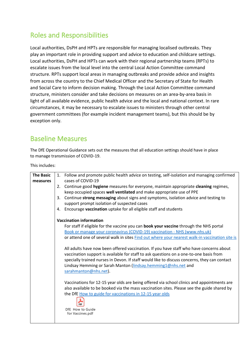# Roles and Responsibilities

Local authorities, DsPH and HPTs are responsible for managing localised outbreaks. They play an important role in providing support and advice to education and childcare settings. Local authorities, DsPH and HPTs can work with their regional partnership teams (RPTs) to escalate issues from the local level into the central Local Action Committee command structure. RPTs support local areas in managing outbreaks and provide advice and insights from across the country to the Chief Medical Officer and the Secretary of State for Health and Social Care to inform decision making. Through the Local Action Committee command structure, ministers consider and take decisions on measures on an area-by-area basis in light of all available evidence, public health advice and the local and national context. In rare circumstances, it may be necessary to escalate issues to ministers through other central government committees (for example incident management teams), but this should be by exception only.

# Baseline Measures

The DfE Operational Guidance sets out the measures that all education settings should have in place to manage transmission of COVID-19.

This includes:

|                                | <b>The Basic</b> |    | 1. Follow and promote public health advice on testing, self-isolation and managing confirmed                                                                                                                                                                                                                                                                                |
|--------------------------------|------------------|----|-----------------------------------------------------------------------------------------------------------------------------------------------------------------------------------------------------------------------------------------------------------------------------------------------------------------------------------------------------------------------------|
|                                | measures         |    | cases of COVID-19<br>2. Continue good hygiene measures for everyone, maintain appropriate cleaning regimes,<br>keep occupied spaces well ventilated and make appropriate use of PPE                                                                                                                                                                                         |
|                                |                  | 3. | Continue strong messaging about signs and symptoms, isolation advice and testing to<br>support prompt isolation of suspected cases                                                                                                                                                                                                                                          |
|                                |                  | 4. | Encourage vaccination uptake for all eligible staff and students                                                                                                                                                                                                                                                                                                            |
| <b>Vaccination information</b> |                  |    |                                                                                                                                                                                                                                                                                                                                                                             |
|                                |                  |    | For staff if eligible for the vaccine you can book your vaccine through the NHS portal                                                                                                                                                                                                                                                                                      |
|                                |                  |    | Book or manage your coronavirus (COVID-19) vaccination - NHS (www.nhs.uk)                                                                                                                                                                                                                                                                                                   |
|                                |                  |    | or attend one of several walk in sites Find out where your nearest walk-in vaccination site is                                                                                                                                                                                                                                                                              |
|                                |                  |    | All adults have now been offered vaccination. If you have staff who have concerns about<br>vaccination support is available for staff to ask questions on a one-to-one basis from<br>specially trained nurses in Devon. If staff would like to discuss concerns, they can contact<br>Lindsay Hemming or Sarah Manton (lindsay.hemming1@nhs.net and<br>sarahmanton@nhs.net). |
|                                |                  |    | Vaccinations for 12-15 year olds are being offered via school clinics and appointments are<br>also available to be booked via the mass vaccination sites. Please see the guide shared by<br>the DfE How to guide for vaccinations in 12-15 year olds<br><b>PDF</b>                                                                                                          |
|                                |                  |    | DfE How to Guide<br>for Vaccines.pdf                                                                                                                                                                                                                                                                                                                                        |
|                                |                  |    |                                                                                                                                                                                                                                                                                                                                                                             |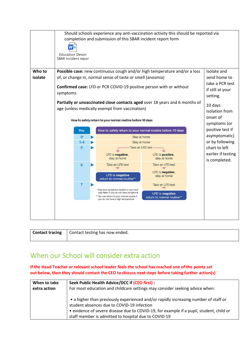

| Contact tracing   Contact testing has now ended. |
|--------------------------------------------------|
|                                                  |

## When our School will consider extra action

**If the Head Teacher or relevant school leader feels the school has reached one of the points set out below, then they should contact the CEO to discuss next steps before taking further action(s)**

| When to take | Seek Public Health Advice/DCC if (CEO first) :                                                                                                                                                                                                                                       |
|--------------|--------------------------------------------------------------------------------------------------------------------------------------------------------------------------------------------------------------------------------------------------------------------------------------|
| extra action | For most education and childcare settings may consider seeking advice when:                                                                                                                                                                                                          |
|              | • a higher than previously experienced and/or rapidly increasing number of staff or<br>student absences due to COVID-19 infection<br>• evidence of severe disease due to COVID-19, for example if a pupil, student, child or<br>staff member is admitted to hospital due to COVID-19 |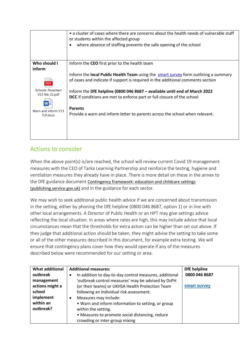|                                 | • a cluster of cases where there are concerns about the health needs of vulnerable staff<br>or students within the affected group<br>where absence of staffing prevents the safe opening of the school |
|---------------------------------|--------------------------------------------------------------------------------------------------------------------------------------------------------------------------------------------------------|
| Who should I                    | Inform the CEO first prior to the health team                                                                                                                                                          |
| inform                          |                                                                                                                                                                                                        |
|                                 | Inform the local Public Health Team using the smart survey form outlining a summary                                                                                                                    |
| <b>PDF</b>                      | of cases and indicate if support is required in the additional comments section                                                                                                                        |
| Schools Flowchart               | Inform the DfE helpline (0800 046 8687 - available until end of March 2022                                                                                                                             |
| V23 feb 22.pdf                  | DCC if conditions are met to enforce part or full closure of the school                                                                                                                                |
|                                 | <b>Parents</b>                                                                                                                                                                                         |
| Warn and inform V13<br>TLP.docx | Provide a warn and inform letter to parents across the school when relevant.                                                                                                                           |
|                                 |                                                                                                                                                                                                        |
|                                 |                                                                                                                                                                                                        |

## Actions to consider

When the above point(s) is/are reached, the school will review current Covid 19 management measures with the CEO of Tarka Learning Partnership and reinforce the testing, hygiene and ventilation measures they already have in place. There is more detail on these in the annex to the DfE guidance document [Contingency framework: education and childcare settings](https://assets.publishing.service.gov.uk/government/uploads/system/uploads/attachment_data/file/1011704/20210817_Contingency_Framework_FINAL.pdf)  [\(publishing.service.gov.uk\)](https://assets.publishing.service.gov.uk/government/uploads/system/uploads/attachment_data/file/1011704/20210817_Contingency_Framework_FINAL.pdf) and in the guidance for each sector.

We may wish to seek additional public health advice if we are concerned about transmission in the setting, either by phoning the DfE helpline (0800 046 8687, option 1) or in line with other local arrangements. A Director of Public Health or an HPT may give settings advice reflecting the local situation. In areas where rates are high, this may include advice that local circumstances mean that the thresholds for extra action can be higher than set out above. If they judge that additional action should be taken, they might advise the setting to take some or all of the other measures described in this document, for example extra testing. We will ensure that contingency plans cover how they would operate if any of the measures described below were recommended for our setting or area.

| <b>What additional</b> | <b>Additional measures:</b>                                         | <b>DfE</b> helpline |
|------------------------|---------------------------------------------------------------------|---------------------|
| outbreak               | In addition to day-to-day control measures, additional<br>$\bullet$ | 0800 046 8687       |
| management             | 'outbreak control measures' may be advised by DsPH                  |                     |
| actions might a        | (or their teams) or UKHSA Health Protection Team                    | smart survey        |
| school                 | following an individual risk assessment.                            |                     |
| implement              | Measures may include:<br>٠                                          |                     |
| within an              | • Warn and inform information to setting, or group                  |                     |
| outbreak?              | within the setting.                                                 |                     |
|                        | • Measures to promote social distancing, reduce                     |                     |
|                        | crowding or inter-group mixing                                      |                     |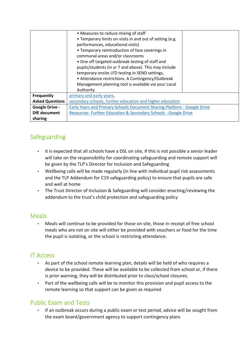|                        | • Measures to reduce mixing of staff<br>• Temporary limits on visits in and out of setting (e.g.<br>performances, educational visits)<br>• Temporary reintroduction of face coverings in<br>communal areas and/or classrooms<br>• One off targeted outbreak testing of staff and<br>pupils/students (in yr 7 and above). This may include<br>temporary onsite LFD testing in SEND settings,<br>• Attendance restrictions. A Contingency/Outbreak<br>Management planning tool is available via your Local |  |
|------------------------|----------------------------------------------------------------------------------------------------------------------------------------------------------------------------------------------------------------------------------------------------------------------------------------------------------------------------------------------------------------------------------------------------------------------------------------------------------------------------------------------------------|--|
|                        | Authority                                                                                                                                                                                                                                                                                                                                                                                                                                                                                                |  |
| Frequently             | primary and early years,                                                                                                                                                                                                                                                                                                                                                                                                                                                                                 |  |
| <b>Asked Questions</b> | secondary schools, further education and higher education                                                                                                                                                                                                                                                                                                                                                                                                                                                |  |
| <b>Google Drive -</b>  | Early Years and Primary Schools Document Sharing Platform - Google Drive                                                                                                                                                                                                                                                                                                                                                                                                                                 |  |
| <b>DfE</b> document    | Resources- Further Education & Secondary Schools - Google Drive                                                                                                                                                                                                                                                                                                                                                                                                                                          |  |
| sharing                |                                                                                                                                                                                                                                                                                                                                                                                                                                                                                                          |  |

## Safeguarding

- It is expected that all schools have a DSL on site, if this is not possible a senior leader will take on the responsibility for coordinating safeguarding and remote support will be given by the TLP's Director for Inclusion and Safeguarding
- Wellbeing calls will be made regularly (in line with individual pupil risk assessments and the TLP Addendum for C19 safeguarding policy) to ensure that pupils are safe and well at home
- The Trust Director of Inclusion & Safeguarding will consider enacting/reviewing the addendum to the trust's child protection and safeguarding policy

#### Meals

• Meals will continue to be provided for those on site, those in receipt of free school meals who are not on site will either be provided with vouchers or food for the time the pupil is isolating, or the school is restricting attendance.

#### IT Access

- As part of the school remote learning plan, details will be held of who requires a device to be provided. These will be available to be collected from school or, if there is prior warning, they will be distributed prior to class/school closures.
- Part of the wellbeing calls will be to monitor this provision and pupil access to the remote learning so that support can be given as required

#### Public Exam and Tests

• If an outbreak occurs during a public exam or test period, advice will be sought from the exam board/government agency to support contingency plans